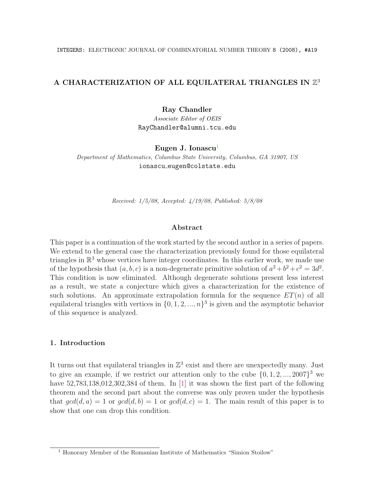# A CHARACTERIZATION OF ALL EQUILATERAL TRIANGLES IN  $\mathbb{Z}^3$

Ray Chandler

*Associate Editor of OEIS* RayChandler@alumni.tcu.edu

Eugen J. Ionascu<sup>1</sup>

*Department of Mathematics, Columbus State University, Columbus, GA 31907, US* ionascu eugen@colstate.edu

*Received: 1/5/08, Accepted: 4/19/08, Published: 5/8/08*

#### Abstract

This paper is a continuation of the work started by the second author in a series of papers. We extend to the general case the characterization previously found for those equilateral triangles in  $\mathbb{R}^3$  whose vertices have integer coordinates. In this earlier work, we made use of the hypothesis that  $(a, b, c)$  is a non-degenerate primitive solution of  $a^2 + b^2 + c^2 = 3d^2$ . This condition is now eliminated. Although degenerate solutions present less interest as a result, we state a conjecture which gives a characterization for the existence of such solutions. An approximate extrapolation formula for the sequence  $ET(n)$  of all equilateral triangles with vertices in  $\{0, 1, 2, \ldots, n\}^3$  is given and the asymptotic behavior of this sequence is analyzed.

## 1. Introduction

It turns out that equilateral triangles in  $\mathbb{Z}^3$  exist and there are unexpectedly many. Just to give an example, if we restrict our attention only to the cube  $\{0, 1, 2, \ldots, 2007\}^3$  we have  $52,783,138,012,302,384$  of them. In [1] it was shown the first part of the following theorem and the second part about the converse was only proven under the hypothesis that  $gcd(d, a) = 1$  or  $gcd(d, b) = 1$  or  $gcd(d, c) = 1$ . The main result of this paper is to show that one can drop this condition.

<sup>&</sup>lt;sup>1</sup> Honorary Member of the Romanian Institute of Mathematics "Simion Stoilow"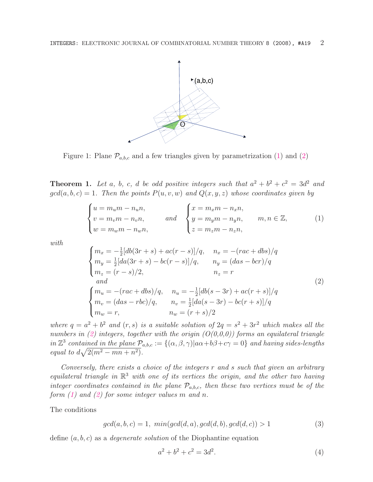

Figure 1: Plane  $\mathcal{P}_{a,b,c}$  and a few triangles given by parametrization (1) and (2)

**Theorem 1.** Let *a*, *b*, *c*, *d be odd positive integers such that*  $a^2 + b^2 + c^2 = 3d^2$  *and*  $gcd(a, b, c) = 1$ . Then the points  $P(u, v, w)$  and  $Q(x, y, z)$  whose coordinates given by

$$
\begin{cases}\n u = m_u m - n_u n, \\
 v = m_v m - n_v n, \\
 w = m_w m - n_w n,\n\end{cases}\n\quad \text{and} \quad\n\begin{cases}\n x = m_x m - n_x n, \\
 y = m_y m - n_y n, \\
 z = m_z m - n_z n,\n\end{cases}\n\quad \text{m}, n \in \mathbb{Z},\n\tag{1}
$$

*with*

 $\overline{\phantom{a}}$ 

$$
\begin{cases}\nm_x = -\frac{1}{2}[db(3r+s) + ac(r-s)]/q, & n_x = -(rac+dbs)/q \\
m_y = \frac{1}{2}[da(3r+s) - bc(r-s)]/q, & n_y = (das - bcr)/q \\
m_z = (r-s)/2, & n_z = r\n\end{cases}
$$
\n(2)\n
$$
\begin{cases}\nm_u = -(rac+dbs)/q, & n_u = -\frac{1}{2}[db(s-3r) + ac(r+s)]/q \\
m_v = (das - rbc)/q, & n_v = \frac{1}{2}[da(s-3r) - bc(r+s)]/q \\
m_w = r, & n_w = (r+s)/2\n\end{cases}
$$

*where*  $q = a^2 + b^2$  *and*  $(r, s)$  *is a suitable solution of*  $2q = s^2 + 3r^2$  *which makes all the numbers in (2) integers, together with the origin (O(0,0,0)) forms an equilateral triangle in*  $\mathbb{Z}^3$  *contained in the plane*  $P_{a,b,c} := \{(\alpha, \beta, \gamma)|a\alpha+b\beta+c\gamma=0\}$  *and having sides-lengths equal to*  $d\sqrt{2(m^2 - mn + n^2)}$ .

*Conversely, there exists a choice of the integers r and s such that given an arbitrary equilateral triangle in* R<sup>3</sup> *with one of its vertices the origin, and the other two having integer coordinates contained in the plane*  $P_{a,b,c}$ *, then these two vertices must be of the form (1) and (2) for some integer values m and n.*

The conditions

$$
gcd(a, b, c) = 1, \ min(gcd(d, a), gcd(d, b), gcd(d, c)) > 1
$$
\n(3)

define (*a, b, c*) as a *degenerate solution* of the Diophantine equation

$$
a^2 + b^2 + c^2 = 3d^2.
$$
 (4)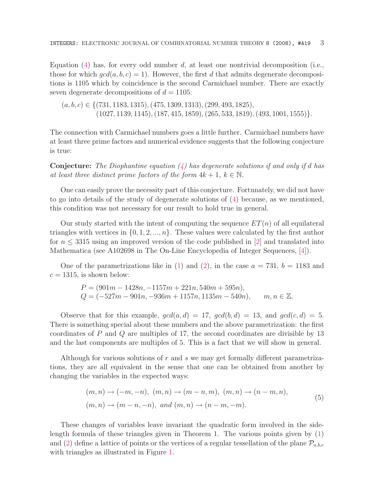Equation (4) has, for every odd number *d*, at least one nontrivial decomposition (i.e., those for which  $gcd(a, b, c) = 1$ . However, the first *d* that admits degenerate decompositions is 1105 which by coincidence is the second Carmichael number. There are exactly seven degenerate decompositions of  $d = 1105$ :

$$
(a, b, c) \in \{ (731, 1183, 1315), (475, 1309, 1313), (299, 493, 1825), (1027, 1139, 1145), (187, 415, 1859), (265, 533, 1819), (493, 1001, 1555) \}.
$$

The connection with Carmichael numbers goes a little further. Carmichael numbers have at least three prime factors and numerical evidence suggests that the following conjecture is true:

Conjecture: *The Diophantine equation (4) has degenerate solutions if and only if d has at least three distinct prime factors of the form*  $4k + 1$ ,  $k \in \mathbb{N}$ .

One can easily prove the necessity part of this conjecture. Fortunately, we did not have to go into details of the study of degenerate solutions of (4) because, as we mentioned, this condition was not necessary for our result to hold true in general.

Our study started with the intent of computing the sequence  $ET(n)$  of all equilateral triangles with vertices in  $\{0, 1, 2, \ldots, n\}$ . These values were calculated by the first author for  $n \leq 3315$  using an improved version of the code published in [2] and translated into Mathematica (see A102698 in The On-Line Encyclopedia of Integer Sequences, [4]).

One of the parametrizations like in  $(1)$  and  $(2)$ , in the case  $a = 731$ ,  $b = 1183$  and  $c = 1315$ , is shown below:

$$
P = (901m - 1428n, -1157m + 221n, 540m + 595n),
$$
  
\n
$$
Q = (-527m - 901n, -936m + 1157n, 1135m - 540n), \quad m, n \in \mathbb{Z}.
$$

Observe that for this example,  $gcd(a, d) = 17$ ,  $gcd(b, d) = 13$ , and  $gcd(c, d) = 5$ . There is something special about these numbers and the above parametrization: the first coordinates of *P* and *Q* are multiples of 17, the second coordinates are divisible by 13 and the last components are multiples of 5. This is a fact that we will show in general.

Although for various solutions of *r* and *s* we may get formally different parametrizations, they are all equivalent in the sense that one can be obtained from another by changing the variables in the expected ways:

$$
(m, n) \to (-m, -n), (m, n) \to (m - n, m), (m, n) \to (n - m, n),
$$
  
 $(m, n) \to (m - n, -n), and (m, n) \to (n - m, -m).$  (5)

These changes of variables leave invariant the quadratic form involved in the sidelength formula of these triangles given in Theorem 1. The various points given by (1) and (2) define a lattice of points or the vertices of a regular tessellation of the plane  $\mathcal{P}_{a,b,c}$ with triangles as illustrated in Figure 1.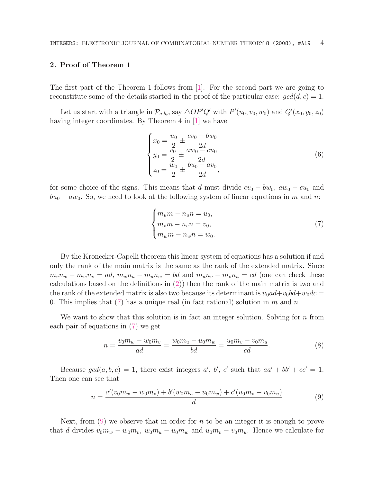### 2. Proof of Theorem 1

The first part of the Theorem 1 follows from [1]. For the second part we are going to reconstitute some of the details started in the proof of the particular case:  $gcd(d, c) = 1$ .

Let us start with a triangle in  $\mathcal{P}_{a,b,c}$  say  $\triangle OP'Q'$  with  $P'(u_0, v_0, w_0)$  and  $Q'(x_0, y_0, z_0)$ having integer coordinates. By Theorem 4 in [1] we have

$$
\begin{cases}\nx_0 = \frac{u_0}{2} \pm \frac{cv_0 - bw_0}{2d} \\
y_0 = \frac{v_0}{2} \pm \frac{aw_0 - cu_0}{2d} \\
z_0 = \frac{w_0}{2} \pm \frac{bu_0 - av_0}{2d},\n\end{cases} \tag{6}
$$

for some choice of the signs. This means that *d* must divide  $cv_0 - bw_0$ ,  $aw_0 - cu_0$  and *bu*<sub>0</sub> − *aw*<sub>0</sub>. So, we need to look at the following system of linear equations in *m* and *n*:

$$
\begin{cases}\nm_u m - n_u n = u_0, \\
m_v m - n_v n = v_0, \\
m_w m - n_w n = w_0.\n\end{cases}
$$
\n(7)

By the Kronecker-Capelli theorem this linear system of equations has a solution if and only the rank of the main matrix is the same as the rank of the extended matrix. Since  $m_v n_w - m_w n_v = ad$ ,  $m_w n_u - m_u n_w = bd$  and  $m_u n_v - m_v n_u = cd$  (one can check these calculations based on the definitions in  $(2)$ ) then the rank of the main matrix is two and the rank of the extended matrix is also two because its determinant is  $u_0 a d + v_0 b d + w_0 d c =$ 0. This implies that (7) has a unique real (in fact rational) solution in *m* and *n*.

We want to show that this solution is in fact an integer solution. Solving for *n* from each pair of equations in (7) we get

$$
n = \frac{v_0 m_w - w_0 m_v}{ad} = \frac{w_0 m_u - u_0 m_w}{bd} = \frac{u_0 m_v - v_0 m_u}{cd}.
$$
 (8)

Because  $gcd(a, b, c) = 1$ , there exist integers *a'*, *b'*, *c'* such that  $aa' + bb' + cc' = 1$ . Then one can see that

$$
n = \frac{a'(v_0m_w - w_0m_v) + b'(w_0m_u - u_0m_w) + c'(u_0m_v - v_0m_u)}{d}
$$
(9)

Next, from (9) we observe that in order for *n* to be an integer it is enough to prove that *d* divides  $v_0m_w - w_0m_v$ ,  $w_0m_u - u_0m_w$  and  $u_0m_v - v_0m_u$ . Hence we calculate for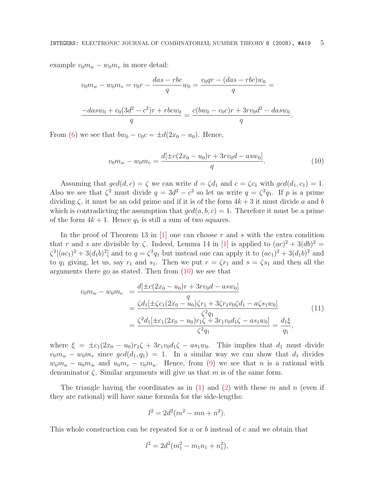example  $v_0m_w - w_0m_v$  in more detail:

$$
v_0m_w - w_0m_v = v_0r - \frac{das - rbc}{q}w_0 = \frac{v_0qr - (das - rbc)w_0}{q} =
$$
  

$$
\frac{-dasw_0 + v_0(3d^2 - c^2)r + rbcw_0}{q} = \frac{c(bw_0 - v_0c)r + 3rv_0d^2 - dasw_0}{q}.
$$

From (6) we see that  $bw_0 - v_0c = \pm d(2x_0 - u_0)$ . Hence,

$$
v_0 m_w - w_0 m_v = \frac{d[\pm c(2x_0 - u_0)r + 3rv_0d - asw_0]}{q}.
$$
\n(10)

Assuming that  $gcd(d, c) = \zeta$  we can write  $d = \zeta d_1$  and  $c = \zeta c_1$  with  $gcd(d_1, c_1) = 1$ . Also we see that  $\zeta^2$  must divide  $q = 3d^2 - c^2$  so let us write  $q = \zeta^2 q_1$ . If p is a prime dividing  $\zeta$ , it must be an odd prime and if it is of the form  $4k + 3$  it must divide a and b which is contradicting the assumption that  $gcd(a, b, c) = 1$ . Therefore it must be a prime of the form  $4k + 1$ . Hence  $q_1$  is still a sum of two squares.

In the proof of Theorem 13 in [1] one can choose *r* and *s* with the extra condition that *r* and *s* are divisible by  $\zeta$ . Indeed, Lemma 14 in [1] is applied to  $(ac)^2 + 3(db)^2 =$  $\zeta^2[(ac_1)^2 + 3(d_1b)^2]$  and to  $q = \zeta^2 q_1$  but instead one can apply it to  $(ac_1)^2 + 3(d_1b)^2$  and to  $q_1$  giving, let us, say  $r_1$  and  $s_1$ . Then we put  $r = \zeta r_1$  and  $s = \zeta s_1$  and then all the arguments there go as stated. Then from (10) we see that

$$
v_0 m_w - w_0 m_v = \frac{d[\pm c(2x_0 - u_0)r + 3rv_0d - asw_0]}{q}
$$
  
= 
$$
\frac{\zeta d_1[\pm \zeta c_1(2x_0 - u_0)\zeta r_1 + 3\zeta r_1v_0\zeta d_1 - a\zeta s_1w_0]}{\zeta^2 q_1}
$$
  
= 
$$
\frac{\zeta^2 d_1[\pm c_1(2x_0 - u_0)r_1\zeta + 3r_1v_0d_1\zeta - as_1w_0]}{\zeta^2 q_1} = \frac{d_1\xi}{q_1},
$$
 (11)

where  $\xi = \pm c_1(2x_0 - u_0)r_1\zeta + 3r_1v_0d_1\zeta - as_1w_0$ . This implies that  $d_1$  must divide  $v_0 m_w - w_0 m_v$  since  $gcd(d_1, q_1) = 1$ . In a similar way we can show that  $d_1$  divides  $w_0 m_u - u_0 m_w$  and  $u_0 m_v - v_0 m_u$ . Hence, from (9) we see that *n* is a rational with denominator ζ. Similar arguments will give us that *m* is of the same form.

The triangle having the coordinates as in (1) and (2) with these *m* and *n* (even if they are rational) will have same formula for the side-lengths:

$$
l^2 = 2d^2(m^2 - mn + n^2).
$$

This whole construction can be repeated for *a* or *b* instead of *c* and we obtain that

$$
l^2 = 2d^2(m_1^2 - m_1n_1 + n_1^2),
$$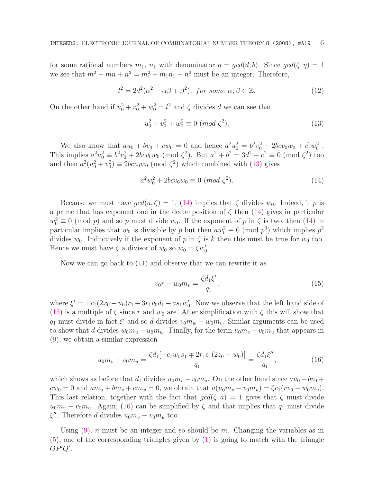for some rational numbers  $m_1$ ,  $n_1$  with denominator  $\eta = \gcd(d, b)$ . Since  $\gcd(\zeta, \eta) = 1$ we see that  $m^2 - mn + n^2 = m_1^2 - m_1 n_1 + n_1^2$  must be an integer. Therefore,

$$
l^{2} = 2d^{2}(\alpha^{2} - \alpha\beta + \beta^{2}), \text{ for some } \alpha, \beta \in \mathbb{Z}.
$$
 (12)

On the other hand if  $u_0^2 + v_0^2 + w_0^2 = l^2$  and  $\zeta$  divides *d* we can see that

$$
u_0^2 + v_0^2 + w_0^2 \equiv 0 \ (mod \ \zeta^2). \tag{13}
$$

We also know that  $au_0 + bv_0 + cw_0 = 0$  and hence  $a^2u_0^2 = b^2v_0^2 + 2bcv_0w_0 + c^2w_0^2$ . This implies  $a^2u_0^2 \equiv b^2v_0^2 + 2bcv_0w_0 \pmod{\zeta^2}$ . But  $a^2 + b^2 = 3d^2 - c^2 \equiv 0 \pmod{\zeta^2}$  too and then  $a^2(u_0^2 + v_0^2) \equiv 2bcv_0w_0 \pmod{\zeta^2}$  which combined with (13) gives

$$
a^2 w_0^2 + 2bcv_0 w_0 \equiv 0 \ (mod \ \zeta^2). \tag{14}
$$

Because we must have  $gcd(a, \zeta) = 1$ , (14) implies that  $\zeta$  divides  $w_0$ . Indeed, if p is a prime that has exponent one in the decomposition of  $\zeta$  then (14) gives in particular  $w_0^2 \equiv 0 \pmod{p}$  and so *p* must divide  $w_0$ . If the exponent of *p* in  $\zeta$  is two, then (14) in particular implies that  $w_0$  is divisible by  $p$  but then  $aw_0^2 \equiv 0 \pmod{p^3}$  which implies  $p^2$ divides  $w_0$ . Inductively if the exponent of p in  $\zeta$  is k then this must be true for  $w_0$  too. Hence we must have  $\zeta$  a divisor of  $w_0$  so  $w_0 = \zeta w'_0$ .

Now we can go back to  $(11)$  and observe that we can rewrite it as

$$
v_0 r - w_0 m_v = \frac{\zeta d_1 \xi'}{q_1},\tag{15}
$$

where  $\xi' = \pm c_1(2x_0 - u_0)r_1 + 3r_1v_0d_1 - as_1w'_0$ . Now we observe that the left hand side of (15) is a multiple of  $\zeta$  since r and  $w_0$  are. After simplification with  $\zeta$  this will show that *q*<sub>1</sub> must divide in fact  $\xi'$  and so *d* divides  $v_0m_w - w_0m_v$ . Similar arguments can be used to show that *d* divides  $w_0m_u - u_0m_w$ . Finally, for the term  $u_0m_v - v_0m_u$  that appears in (9), we obtain a similar expression

$$
u_0 m_v - v_0 m_u = \frac{\zeta d_1[-c_1 w_0 s_1 \mp 2r_1 c_1 (2z_0 - w_0)]}{q_1} = \frac{\zeta d_1 \xi''}{q_1},\tag{16}
$$

which shows as before that  $d_1$  divides  $u_0m_v - v_0m_u$ . On the other hand since  $au_0 + bv_0 +$  $cw_0 = 0$  and  $am_u + bm_v + cm_w = 0$ , we obtain that  $a(u_0m_v - v_0m_u) = \zeta c_1(rv_0 - w_0m_v)$ . This last relation, together with the fact that  $\gcd(\zeta, a) = 1$  gives that  $\zeta$  must divide  $u_0m_v - v_0m_u$ . Again, (16) can be simplified by  $\zeta$  and that implies that  $q_1$  must divide  $\xi''$ . Therefore *d* divides  $u_0m_v - v_0m_u$  too.

Using (9), *n* must be an integer and so should be *m*. Changing the variables as in (5), one of the corresponding triangles given by (1) is going to match with the triangle *OP*! *Q*! .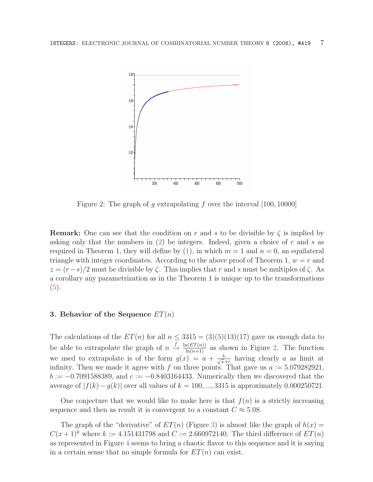

Figure 2: The graph of *g* extrapolating *f* over the interval [100*,* 10000]

**Remark:** One can see that the condition on r and s to be divisible by  $\zeta$  is implied by asking only that the numbers in (2) be integers. Indeed, given a choice of *r* and *s* as required in Theorem 1, they will define by  $(1)$ , in which  $m = 1$  and  $n = 0$ , an equilateral triangle with integer coordinates. According to the above proof of Theorem 1,  $w = r$  and  $z = (r-s)/2$  must be divisible by  $\zeta$ . This implies that *r* and *s* must be multiples of  $\zeta$ . As a corollary any parametrization as in the Theorem 1 is unique up to the transformations (5).

#### 3. Behavior of the Sequence *ET*(*n*)

The calculations of the  $ET(n)$  for all  $n \leq 3315 = (3)(5)(13)(17)$  gave us enough data to be able to extrapolate the graph of  $n \xrightarrow{f} \frac{\ln(ET(n))}{\ln(n+1)}$  as shown in Figure 2. The function we used to extrapolate is of the form  $g(x) = a + \frac{b}{\sqrt{x+c}}$  having clearly *a* as limit at infinity. Then we made it agree with  $f$  on three points. That gave us  $a := 5.079282921$ , *b* := −0*.*7091588389, and *c* := −0*.*8403164433. Numerically then we discovered that the average of  $|f(k) - g(k)|$  over all values of  $k = 100, \ldots, 3315$  is approximately 0.000250721.

One conjecture that we would like to make here is that  $f(n)$  is a strictly increasing sequence and then as result it is convergent to a constant  $C \approx 5.08$ .

The graph of the "derivative" of  $ET(n)$  (Figure 3) is almost like the graph of  $h(x) =$  $C(x+1)^k$  where  $k := 4.151431798$  and  $C := 2.660972140$ . The third difference of  $ET(n)$ as represented in Figure 4 seems to bring a chaotic flavor to this sequence and it is saying in a certain sense that no simple formula for  $ET(n)$  can exist.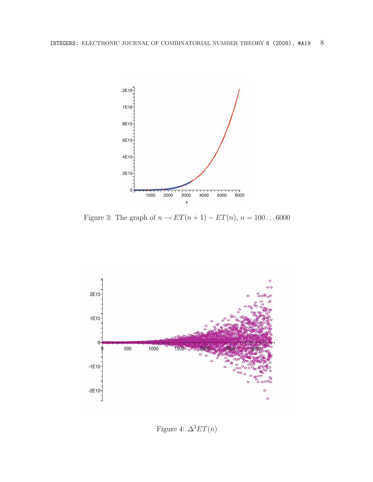

Figure 3: The graph of  $n \to ET(n + 1) - ET(n), n = 100...6000$ 



Figure 4:  $\Delta^3 ET(n)$